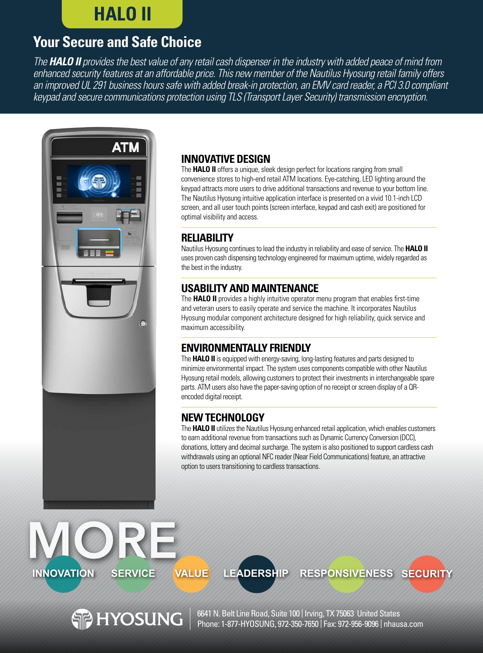# **HALO II**

# **Your Secure and Safe Choice**

*The HALO II provides the best value of any retail cash dispenser in the industry with added peace of mind from enhanced security features at an affordable price. This new member of the Nautilus Hyosung retail family offers an improved UL 291 business hours safe with added break-in protection, an EMV card reader, a PCI 3.0 compliant keypad and secure communications protection using TLS (Transport Layer Security) transmission encryption.*



**HYOSUNG** 

## **INNOVATIVE DESIGN**

The **HALO II** offers a unique, sleek design perfect for locations ranging from small convenience stores to high-end retail ATM locations. Eye-catching, LED lighting around the keypad attracts more users to drive additional transactions and revenue to your bottom line. The Nautilus Hyosung intuitive application interface is presented on a vivid 10.1-inch LCD screen, and all user touch points (screen interface, keypad and cash exit) are positioned for optimal visibility and access.

## **RELIABILITY**

Nautilus Hyosung continues to lead the industry in reliability and ease of service. The **HALO II**  uses proven cash dispensing technology engineered for maximum uptime, widely regarded as the best in the industry.

# **USABILITY AND MAINTENANCE**

The **HALO II** provides a highly intuitive operator menu program that enables first-time and veteran users to easily operate and service the machine. It incorporates Nautilus Hyosung modular component architecture designed for high reliability, quick service and maximum accessibility.

## **ENVIRONMENTALLY FRIENDLY**

**INNOVATION SERVICE VALUE LEADERSHIP RESPONSIVENESS SECURITY**

The **HALO II** is equipped with energy-saving, long-lasting features and parts designed to minimize environmental impact. The system uses components compatible with other Nautilus Hyosung retail models, allowing customers to protect their investments in interchangeable spare parts. ATM users also have the paper-saving option of no receipt or screen display of a QRencoded digital receipt.

# **NEW TECHNOLOGY**

The **HALO II** utilizes the Nautilus Hyosung enhanced retail application, which enables customers to earn additional revenue from transactions such as Dynamic Currency Conversion (DCC), donations, lottery and decimal surcharge. The system is also positioned to support cardless cash withdrawals using an optional NFC reader (Near Field Communications) feature, an attractive option to users transitioning to cardless transactions.

6641 N. Belt Line Road, Suite 100 | Irving, TX 75063 United States Phone: 1-877-HYOSUNG, 972-350-7650 | Fax: 972-956-9096 | nhausa.com